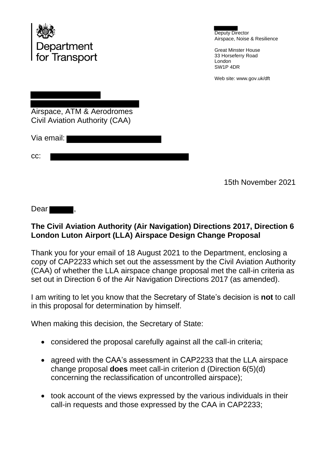

Deputy Director Airspace, Noise & Resilience

Great Minster House 33 Horseferry Road London SW1P 4DR

Web site: www.gov.uk/dft

Airspace, ATM & Aerodromes Civil Aviation Authority (CAA)

Via email:

| rr.<br>∪∪. |  |  |
|------------|--|--|
|            |  |  |

15th November 2021

Dear **The Dear** 

## **The Civil Aviation Authority (Air Navigation) Directions 2017, Direction 6 London Luton Airport (LLA) Airspace Design Change Proposal**

Thank you for your email of 18 August 2021 to the Department, enclosing a copy of CAP2233 which set out the assessment by the Civil Aviation Authority (CAA) of whether the LLA airspace change proposal met the call-in criteria as set out in Direction 6 of the Air Navigation Directions 2017 (as amended).

I am writing to let you know that the Secretary of State's decision is **not** to call in this proposal for determination by himself.

When making this decision, the Secretary of State:

- considered the proposal carefully against all the call-in criteria;
- agreed with the CAA's assessment in CAP2233 that the LLA airspace change proposal **does** meet call-in criterion d (Direction 6(5)(d) concerning the reclassification of uncontrolled airspace);
- took account of the views expressed by the various individuals in their call-in requests and those expressed by the CAA in CAP2233;